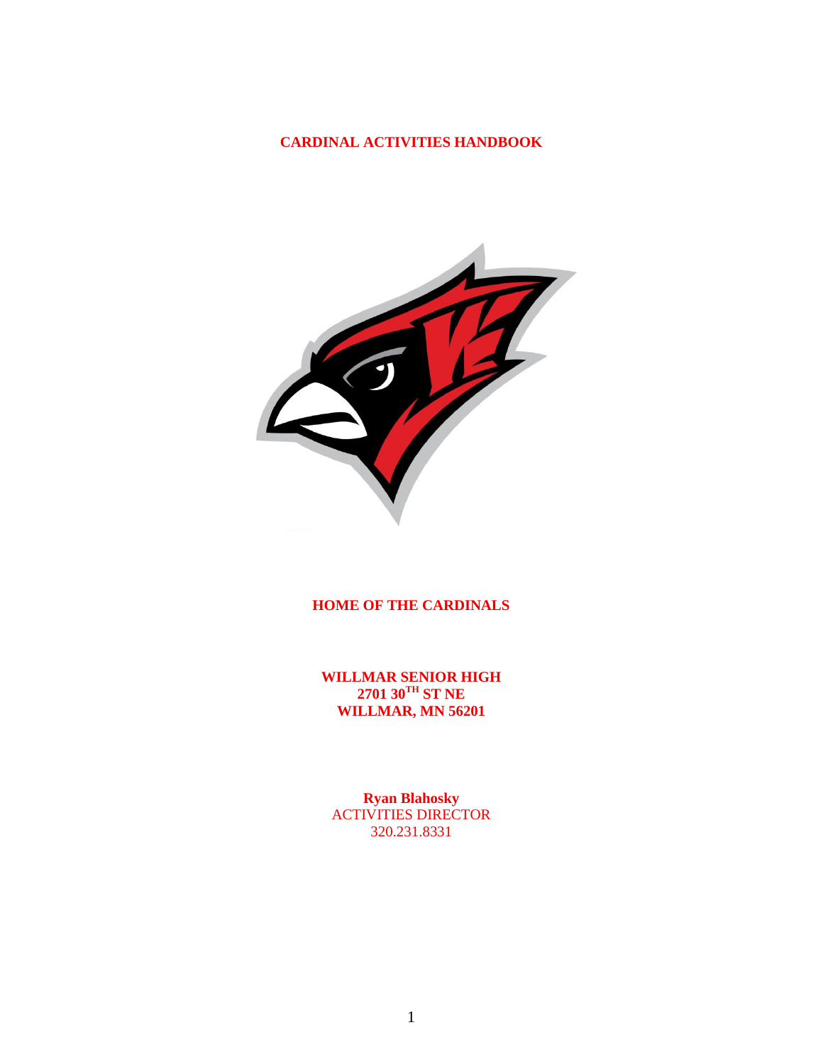### **CARDINAL ACTIVITIES HANDBOOK**



### **HOME OF THE CARDINALS**

**WILLMAR SENIOR HIGH 2701 30TH ST NE WILLMAR, MN 56201**

**Ryan Blahosky** ACTIVITIES DIRECTOR 320.231.8331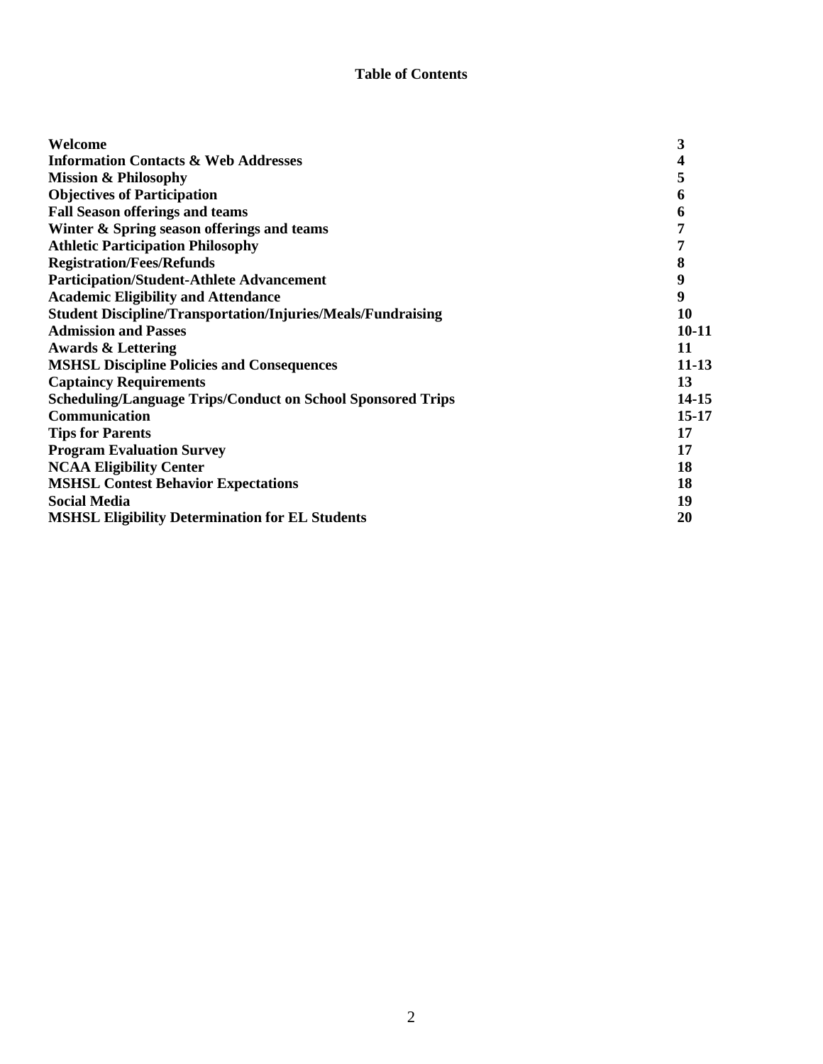#### **Table of Contents**

| Welcome                                                             | 3         |
|---------------------------------------------------------------------|-----------|
| <b>Information Contacts &amp; Web Addresses</b>                     |           |
| <b>Mission &amp; Philosophy</b>                                     | 5         |
| <b>Objectives of Participation</b>                                  | 6         |
| <b>Fall Season offerings and teams</b>                              | 6         |
| Winter & Spring season offerings and teams                          |           |
| <b>Athletic Participation Philosophy</b>                            |           |
| <b>Registration/Fees/Refunds</b>                                    | 8         |
| <b>Participation/Student-Athlete Advancement</b>                    | 9         |
| <b>Academic Eligibility and Attendance</b>                          | 9         |
| <b>Student Discipline/Transportation/Injuries/Meals/Fundraising</b> | 10        |
| <b>Admission and Passes</b>                                         | $10 - 11$ |
| <b>Awards &amp; Lettering</b>                                       | 11        |
| <b>MSHSL Discipline Policies and Consequences</b>                   | $11 - 13$ |
| <b>Captaincy Requirements</b>                                       | 13        |
| <b>Scheduling/Language Trips/Conduct on School Sponsored Trips</b>  | 14-15     |
| Communication                                                       | $15 - 17$ |
| <b>Tips for Parents</b>                                             | 17        |
| <b>Program Evaluation Survey</b>                                    | 17        |
| <b>NCAA Eligibility Center</b>                                      | 18        |
| <b>MSHSL Contest Behavior Expectations</b>                          | 18        |
| <b>Social Media</b>                                                 | 19        |
| <b>MSHSL Eligibility Determination for EL Students</b>              | 20        |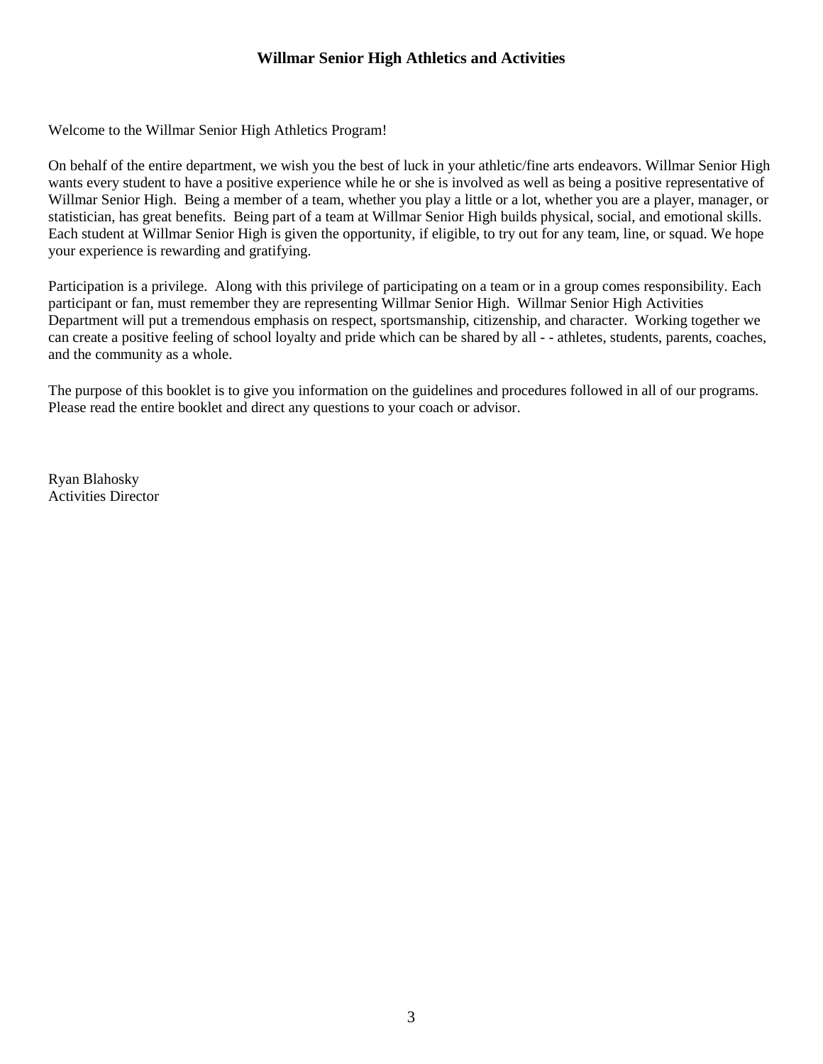## **Willmar Senior High Athletics and Activities**

Welcome to the Willmar Senior High Athletics Program!

On behalf of the entire department, we wish you the best of luck in your athletic/fine arts endeavors. Willmar Senior High wants every student to have a positive experience while he or she is involved as well as being a positive representative of Willmar Senior High. Being a member of a team, whether you play a little or a lot, whether you are a player, manager, or statistician, has great benefits. Being part of a team at Willmar Senior High builds physical, social, and emotional skills. Each student at Willmar Senior High is given the opportunity, if eligible, to try out for any team, line, or squad. We hope your experience is rewarding and gratifying.

Participation is a privilege. Along with this privilege of participating on a team or in a group comes responsibility. Each participant or fan, must remember they are representing Willmar Senior High. Willmar Senior High Activities Department will put a tremendous emphasis on respect, sportsmanship, citizenship, and character. Working together we can create a positive feeling of school loyalty and pride which can be shared by all - - athletes, students, parents, coaches, and the community as a whole.

The purpose of this booklet is to give you information on the guidelines and procedures followed in all of our programs. Please read the entire booklet and direct any questions to your coach or advisor.

Ryan Blahosky Activities Director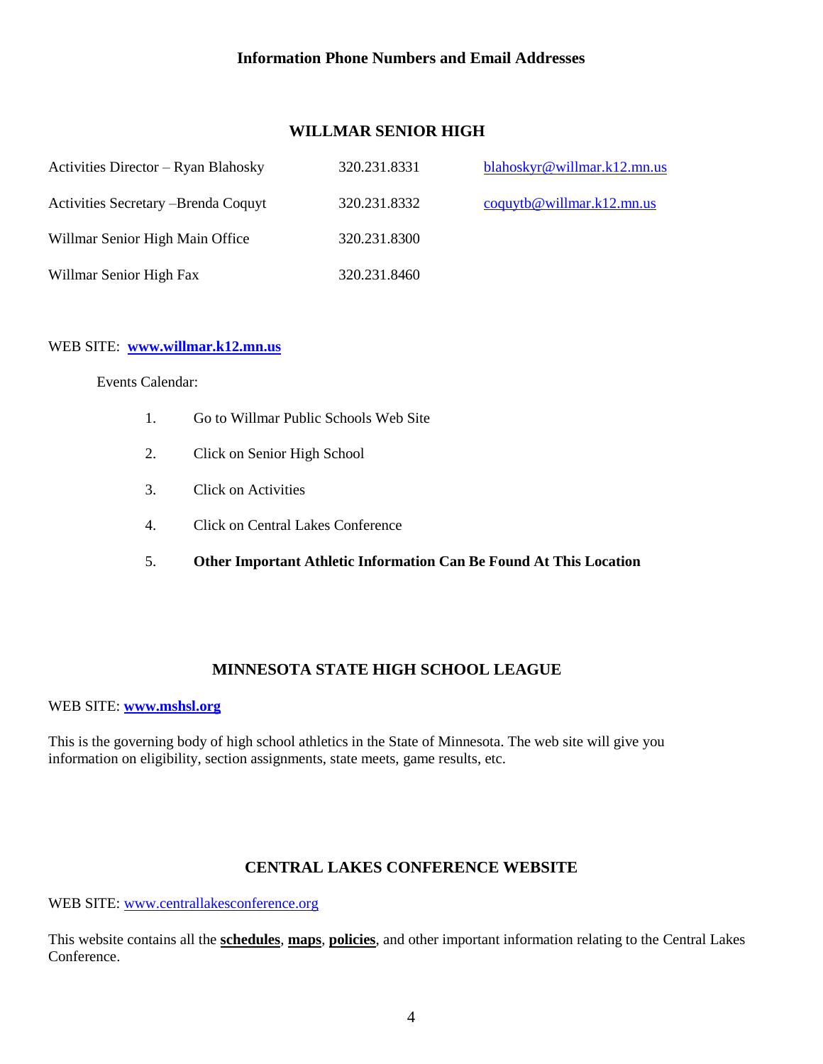### **Information Phone Numbers and Email Addresses**

## **WILLMAR SENIOR HIGH**

| Activities Director – Ryan Blahosky  | 320.231.8331 | blahoskyr@willmar.k12.mn.us        |
|--------------------------------------|--------------|------------------------------------|
| Activities Secretary - Brenda Coquyt | 320.231.8332 | $\text{coguytb@willmar.k12.mn.us}$ |
| Willmar Senior High Main Office      | 320.231.8300 |                                    |
| Willmar Senior High Fax              | 320.231.8460 |                                    |

#### WEB SITE: **[www.willmar.k12.mn.us](http://www.willmar.k12.mn.us/)**

Events Calendar:

- 1. Go to Willmar Public Schools Web Site
- 2. Click on Senior High School
- 3. Click on Activities
- 4. Click on Central Lakes Conference
- 5. **Other Important Athletic Information Can Be Found At This Location**

## **MINNESOTA STATE HIGH SCHOOL LEAGUE**

#### WEB SITE: **[www.mshsl.org](http://www.mshsl.org/)**

This is the governing body of high school athletics in the State of Minnesota. The web site will give you information on eligibility, section assignments, state meets, game results, etc.

### **CENTRAL LAKES CONFERENCE WEBSITE**

#### WEB SITE: [www.centrallakesconference.org](http://www.centrallakesconference.org/)

This website contains all the **schedules**, **maps**, **policies**, and other important information relating to the Central Lakes Conference.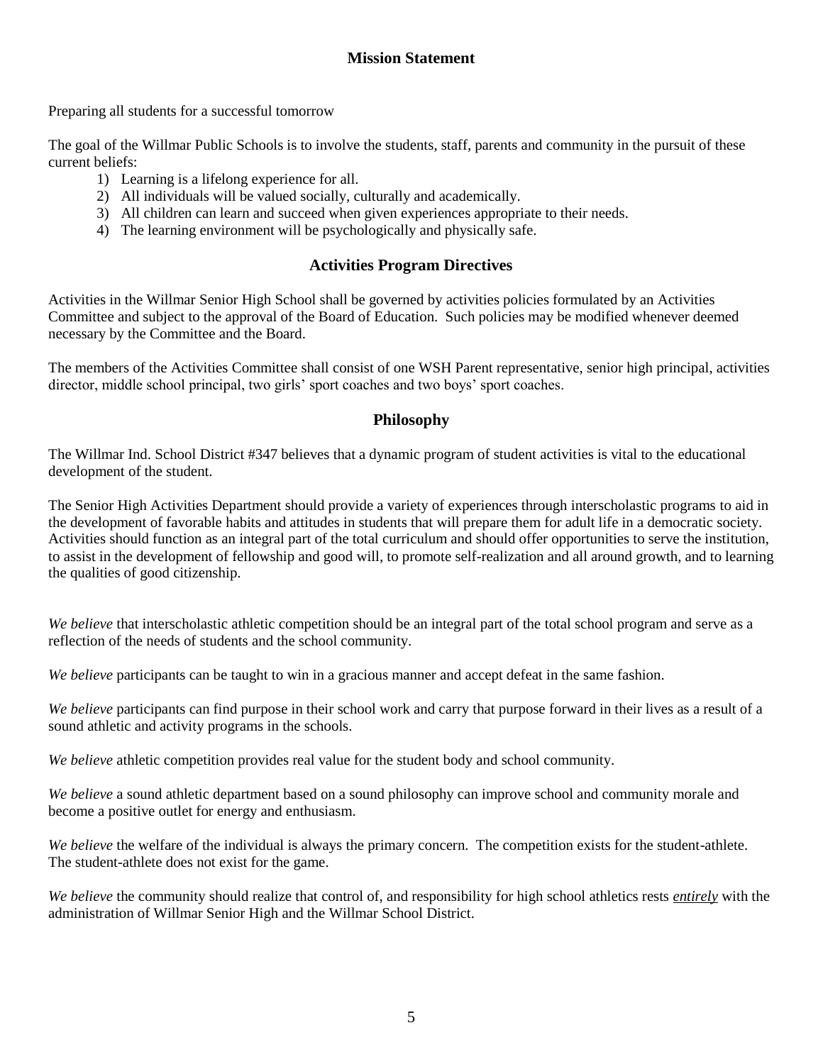## **Mission Statement**

Preparing all students for a successful tomorrow

The goal of the Willmar Public Schools is to involve the students, staff, parents and community in the pursuit of these current beliefs:

- 1) Learning is a lifelong experience for all.
- 2) All individuals will be valued socially, culturally and academically.
- 3) All children can learn and succeed when given experiences appropriate to their needs.
- 4) The learning environment will be psychologically and physically safe.

#### **Activities Program Directives**

Activities in the Willmar Senior High School shall be governed by activities policies formulated by an Activities Committee and subject to the approval of the Board of Education. Such policies may be modified whenever deemed necessary by the Committee and the Board.

The members of the Activities Committee shall consist of one WSH Parent representative, senior high principal, activities director, middle school principal, two girls' sport coaches and two boys' sport coaches.

### **Philosophy**

The Willmar Ind. School District #347 believes that a dynamic program of student activities is vital to the educational development of the student.

The Senior High Activities Department should provide a variety of experiences through interscholastic programs to aid in the development of favorable habits and attitudes in students that will prepare them for adult life in a democratic society. Activities should function as an integral part of the total curriculum and should offer opportunities to serve the institution, to assist in the development of fellowship and good will, to promote self-realization and all around growth, and to learning the qualities of good citizenship.

*We believe* that interscholastic athletic competition should be an integral part of the total school program and serve as a reflection of the needs of students and the school community.

*We believe* participants can be taught to win in a gracious manner and accept defeat in the same fashion.

*We believe* participants can find purpose in their school work and carry that purpose forward in their lives as a result of a sound athletic and activity programs in the schools.

*We believe* athletic competition provides real value for the student body and school community.

*We believe* a sound athletic department based on a sound philosophy can improve school and community morale and become a positive outlet for energy and enthusiasm.

*We believe* the welfare of the individual is always the primary concern. The competition exists for the student-athlete. The student-athlete does not exist for the game.

*We believe* the community should realize that control of, and responsibility for high school athletics rests *entirely* with the administration of Willmar Senior High and the Willmar School District.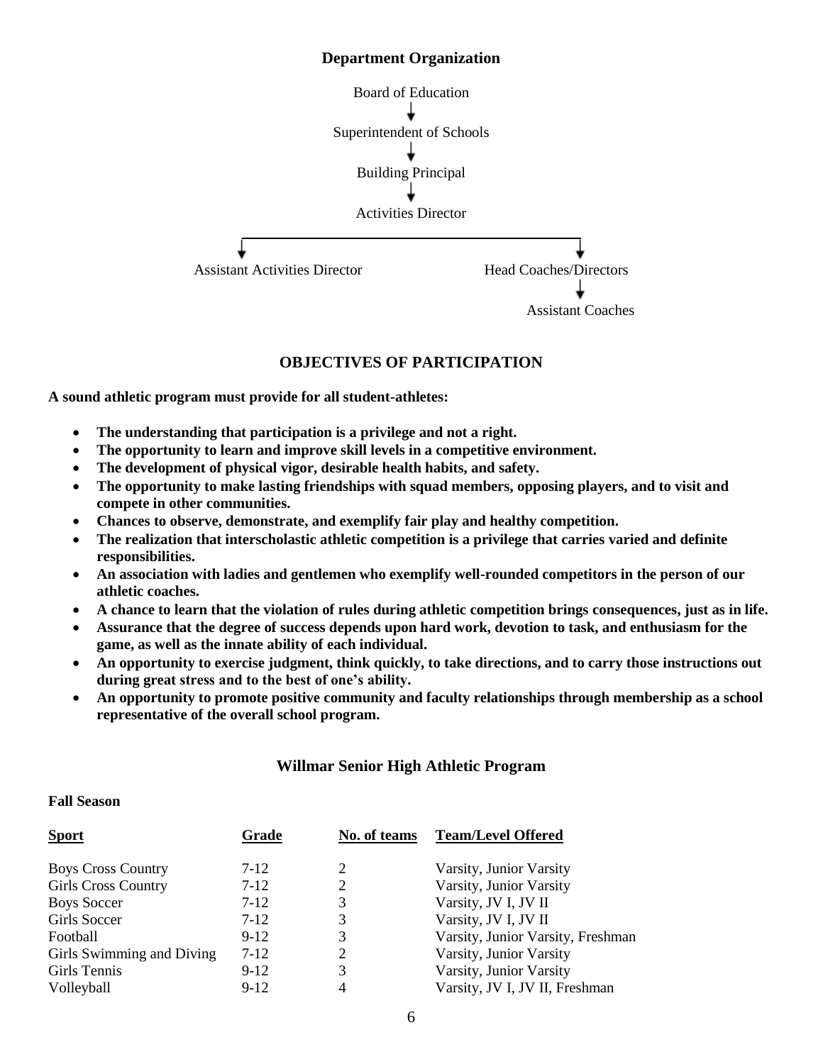#### **Department Organization**



#### **OBJECTIVES OF PARTICIPATION**

**A sound athletic program must provide for all student-athletes:**

- **The understanding that participation is a privilege and not a right.**
- **The opportunity to learn and improve skill levels in a competitive environment.**
- **The development of physical vigor, desirable health habits, and safety.**
- **The opportunity to make lasting friendships with squad members, opposing players, and to visit and compete in other communities.**
- **Chances to observe, demonstrate, and exemplify fair play and healthy competition.**
- **The realization that interscholastic athletic competition is a privilege that carries varied and definite responsibilities.**
- **An association with ladies and gentlemen who exemplify well-rounded competitors in the person of our athletic coaches.**
- **A chance to learn that the violation of rules during athletic competition brings consequences, just as in life.**
- **Assurance that the degree of success depends upon hard work, devotion to task, and enthusiasm for the game, as well as the innate ability of each individual.**
- **An opportunity to exercise judgment, think quickly, to take directions, and to carry those instructions out during great stress and to the best of one's ability.**
- **An opportunity to promote positive community and faculty relationships through membership as a school representative of the overall school program.**

### **Willmar Senior High Athletic Program**

#### **Fall Season**

| Grade  | No. of teams | <b>Team/Level Offered</b>         |
|--------|--------------|-----------------------------------|
| $7-12$ | 2            | Varsity, Junior Varsity           |
| $7-12$ | 2            | Varsity, Junior Varsity           |
| $7-12$ | 3            | Varsity, JV I, JV II              |
| $7-12$ | 3            | Varsity, JV I, JV II              |
| $9-12$ | 3            | Varsity, Junior Varsity, Freshman |
| $7-12$ | 2            | Varsity, Junior Varsity           |
| $9-12$ | 3            | Varsity, Junior Varsity           |
| $9-12$ | 4            | Varsity, JV I, JV II, Freshman    |
|        |              |                                   |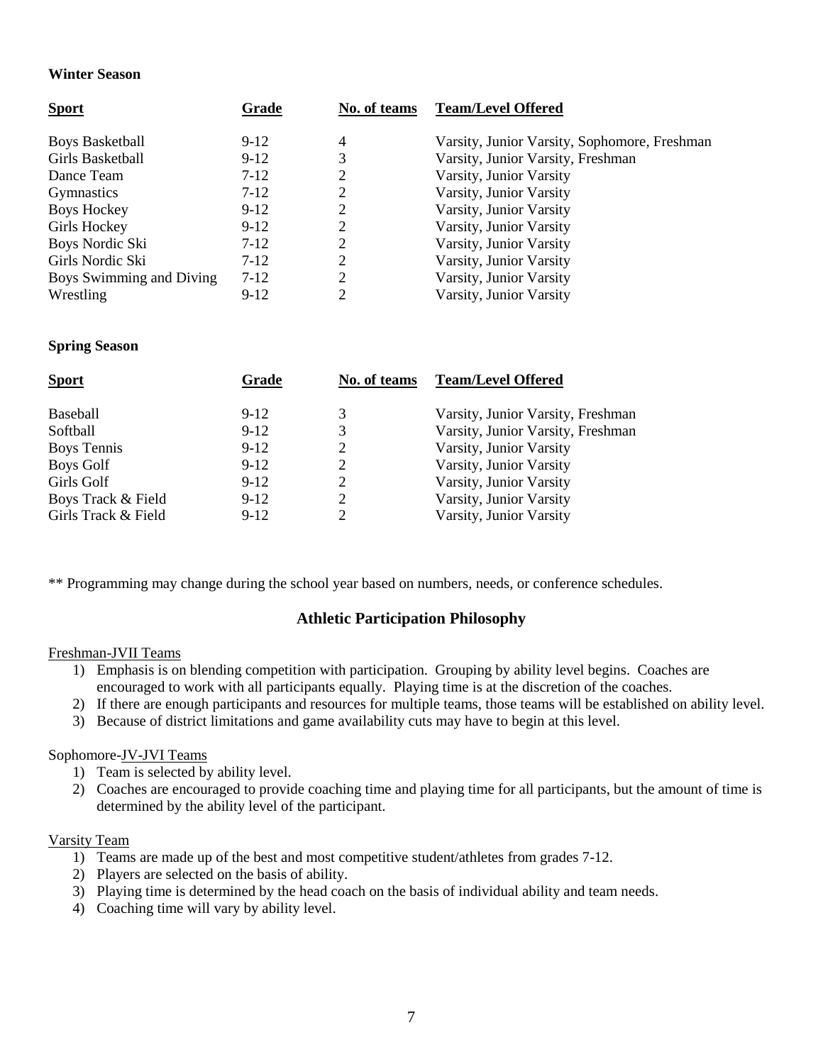#### **Winter Season**

| <b>Sport</b>             | Grade  | No. of teams | <b>Team/Level Offered</b>                    |
|--------------------------|--------|--------------|----------------------------------------------|
| <b>Boys Basketball</b>   | $9-12$ | 4            | Varsity, Junior Varsity, Sophomore, Freshman |
| Girls Basketball         | $9-12$ | 3            | Varsity, Junior Varsity, Freshman            |
| Dance Team               | $7-12$ |              | Varsity, Junior Varsity                      |
| <b>Gymnastics</b>        | $7-12$ |              | Varsity, Junior Varsity                      |
| <b>Boys Hockey</b>       | $9-12$ | 2            | Varsity, Junior Varsity                      |
| Girls Hockey             | $9-12$ | 2            | Varsity, Junior Varsity                      |
| Boys Nordic Ski          | $7-12$ | 2            | Varsity, Junior Varsity                      |
| Girls Nordic Ski         | $7-12$ | 2            | Varsity, Junior Varsity                      |
| Boys Swimming and Diving | $7-12$ | 2            | Varsity, Junior Varsity                      |
| Wrestling                | $9-12$ | ∍            | Varsity, Junior Varsity                      |

#### **Spring Season**

| <b>Sport</b>        | Grade  | No. of teams | <b>Team/Level Offered</b>         |
|---------------------|--------|--------------|-----------------------------------|
| <b>Baseball</b>     | $9-12$ | 3            | Varsity, Junior Varsity, Freshman |
| Softball            | $9-12$ |              | Varsity, Junior Varsity, Freshman |
| <b>Boys Tennis</b>  | $9-12$ |              | Varsity, Junior Varsity           |
| Boys Golf           | $9-12$ |              | Varsity, Junior Varsity           |
| Girls Golf          | $9-12$ | 2            | Varsity, Junior Varsity           |
| Boys Track & Field  | $9-12$ | 2            | Varsity, Junior Varsity           |
| Girls Track & Field | $9-12$ |              | Varsity, Junior Varsity           |
|                     |        |              |                                   |

\*\* Programming may change during the school year based on numbers, needs, or conference schedules.

#### **Athletic Participation Philosophy**

#### Freshman-JVII Teams

- 1) Emphasis is on blending competition with participation. Grouping by ability level begins. Coaches are encouraged to work with all participants equally. Playing time is at the discretion of the coaches.
- 2) If there are enough participants and resources for multiple teams, those teams will be established on ability level.
- 3) Because of district limitations and game availability cuts may have to begin at this level.

#### Sophomore-JV-JVI Teams

- 1) Team is selected by ability level.
- 2) Coaches are encouraged to provide coaching time and playing time for all participants, but the amount of time is determined by the ability level of the participant.

#### Varsity Team

- 1) Teams are made up of the best and most competitive student/athletes from grades 7-12.
- 2) Players are selected on the basis of ability.
- 3) Playing time is determined by the head coach on the basis of individual ability and team needs.
- 4) Coaching time will vary by ability level.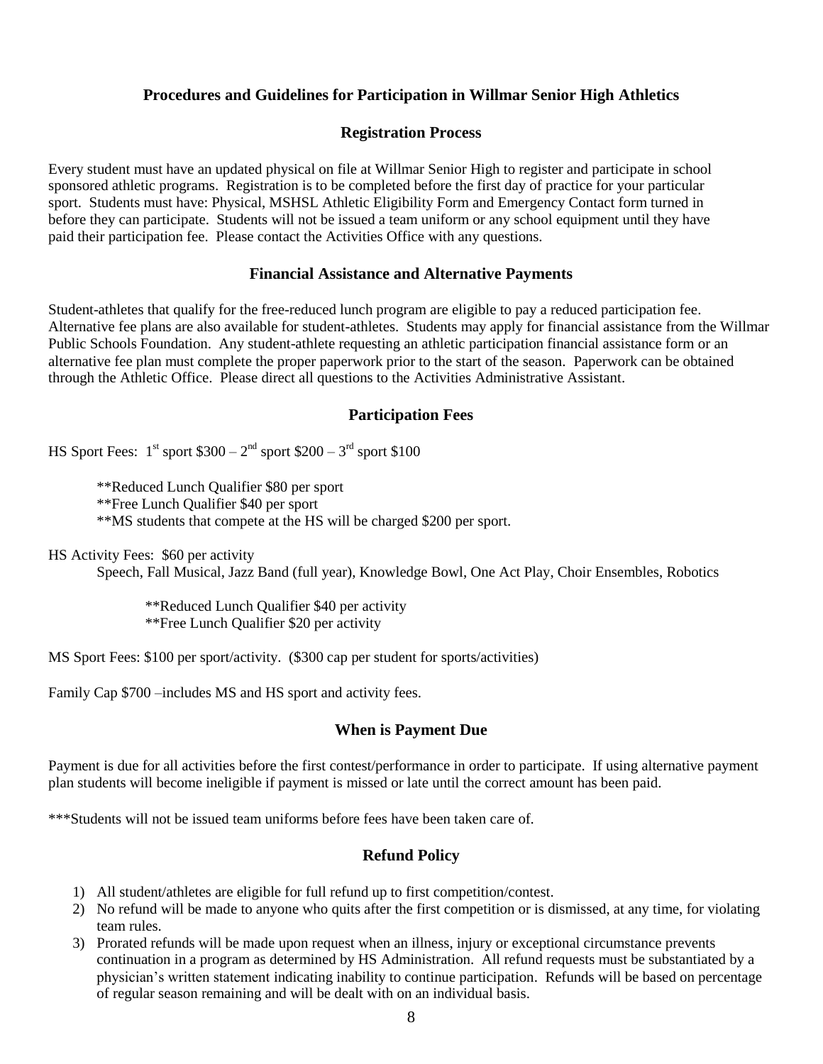### **Procedures and Guidelines for Participation in Willmar Senior High Athletics**

### **Registration Process**

Every student must have an updated physical on file at Willmar Senior High to register and participate in school sponsored athletic programs. Registration is to be completed before the first day of practice for your particular sport. Students must have: Physical, MSHSL Athletic Eligibility Form and Emergency Contact form turned in before they can participate. Students will not be issued a team uniform or any school equipment until they have paid their participation fee. Please contact the Activities Office with any questions.

#### **Financial Assistance and Alternative Payments**

Student-athletes that qualify for the free-reduced lunch program are eligible to pay a reduced participation fee. Alternative fee plans are also available for student-athletes. Students may apply for financial assistance from the Willmar Public Schools Foundation. Any student-athlete requesting an athletic participation financial assistance form or an alternative fee plan must complete the proper paperwork prior to the start of the season. Paperwork can be obtained through the Athletic Office. Please direct all questions to the Activities Administrative Assistant.

### **Participation Fees**

HS Sport Fees:  $1^{st}$  sport \$300 –  $2^{nd}$  sport \$200 –  $3^{rd}$  sport \$100

\*\*Reduced Lunch Qualifier \$80 per sport \*\*Free Lunch Qualifier \$40 per sport

\*\*MS students that compete at the HS will be charged \$200 per sport.

HS Activity Fees: \$60 per activity

Speech, Fall Musical, Jazz Band (full year), Knowledge Bowl, One Act Play, Choir Ensembles, Robotics

\*\*Reduced Lunch Qualifier \$40 per activity \*\*Free Lunch Qualifier \$20 per activity

MS Sport Fees: \$100 per sport/activity. (\$300 cap per student for sports/activities)

Family Cap \$700 –includes MS and HS sport and activity fees.

### **When is Payment Due**

Payment is due for all activities before the first contest/performance in order to participate. If using alternative payment plan students will become ineligible if payment is missed or late until the correct amount has been paid.

\*\*\*Students will not be issued team uniforms before fees have been taken care of.

## **Refund Policy**

- 1) All student/athletes are eligible for full refund up to first competition/contest.
- 2) No refund will be made to anyone who quits after the first competition or is dismissed, at any time, for violating team rules.
- 3) Prorated refunds will be made upon request when an illness, injury or exceptional circumstance prevents continuation in a program as determined by HS Administration. All refund requests must be substantiated by a physician's written statement indicating inability to continue participation. Refunds will be based on percentage of regular season remaining and will be dealt with on an individual basis.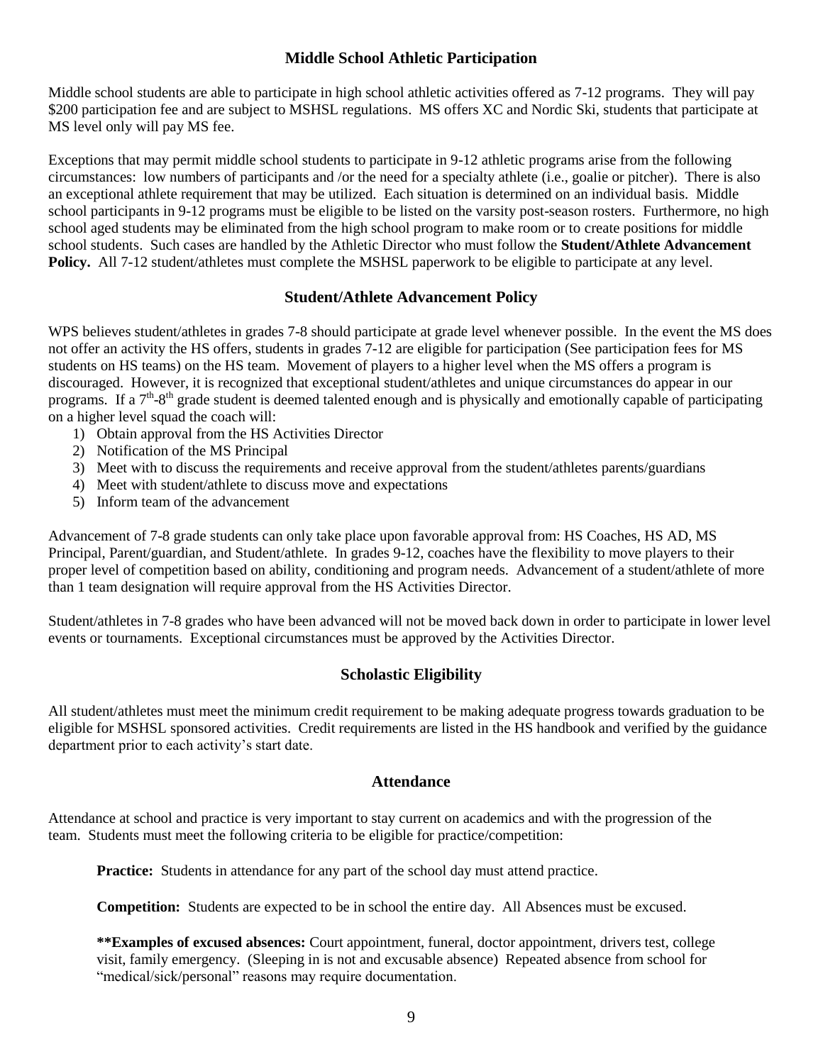### **Middle School Athletic Participation**

Middle school students are able to participate in high school athletic activities offered as 7-12 programs. They will pay \$200 participation fee and are subject to MSHSL regulations. MS offers XC and Nordic Ski, students that participate at MS level only will pay MS fee.

Exceptions that may permit middle school students to participate in 9-12 athletic programs arise from the following circumstances: low numbers of participants and /or the need for a specialty athlete (i.e., goalie or pitcher). There is also an exceptional athlete requirement that may be utilized. Each situation is determined on an individual basis. Middle school participants in 9-12 programs must be eligible to be listed on the varsity post-season rosters. Furthermore, no high school aged students may be eliminated from the high school program to make room or to create positions for middle school students. Such cases are handled by the Athletic Director who must follow the **Student/Athlete Advancement Policy.** All 7-12 student/athletes must complete the MSHSL paperwork to be eligible to participate at any level.

### **Student/Athlete Advancement Policy**

WPS believes student/athletes in grades 7-8 should participate at grade level whenever possible. In the event the MS does not offer an activity the HS offers, students in grades 7-12 are eligible for participation (See participation fees for MS students on HS teams) on the HS team. Movement of players to a higher level when the MS offers a program is discouraged. However, it is recognized that exceptional student/athletes and unique circumstances do appear in our programs. If a  $7<sup>th</sup>$ -8<sup>th</sup> grade student is deemed talented enough and is physically and emotionally capable of participating on a higher level squad the coach will:

- 1) Obtain approval from the HS Activities Director
- 2) Notification of the MS Principal
- 3) Meet with to discuss the requirements and receive approval from the student/athletes parents/guardians
- 4) Meet with student/athlete to discuss move and expectations
- 5) Inform team of the advancement

Advancement of 7-8 grade students can only take place upon favorable approval from: HS Coaches, HS AD, MS Principal, Parent/guardian, and Student/athlete. In grades 9-12, coaches have the flexibility to move players to their proper level of competition based on ability, conditioning and program needs. Advancement of a student/athlete of more than 1 team designation will require approval from the HS Activities Director.

Student/athletes in 7-8 grades who have been advanced will not be moved back down in order to participate in lower level events or tournaments. Exceptional circumstances must be approved by the Activities Director.

### **Scholastic Eligibility**

All student/athletes must meet the minimum credit requirement to be making adequate progress towards graduation to be eligible for MSHSL sponsored activities. Credit requirements are listed in the HS handbook and verified by the guidance department prior to each activity's start date.

#### **Attendance**

Attendance at school and practice is very important to stay current on academics and with the progression of the team. Students must meet the following criteria to be eligible for practice/competition:

**Practice:** Students in attendance for any part of the school day must attend practice.

**Competition:** Students are expected to be in school the entire day. All Absences must be excused.

**\*\*Examples of excused absences:** Court appointment, funeral, doctor appointment, drivers test, college visit, family emergency. (Sleeping in is not and excusable absence) Repeated absence from school for "medical/sick/personal" reasons may require documentation.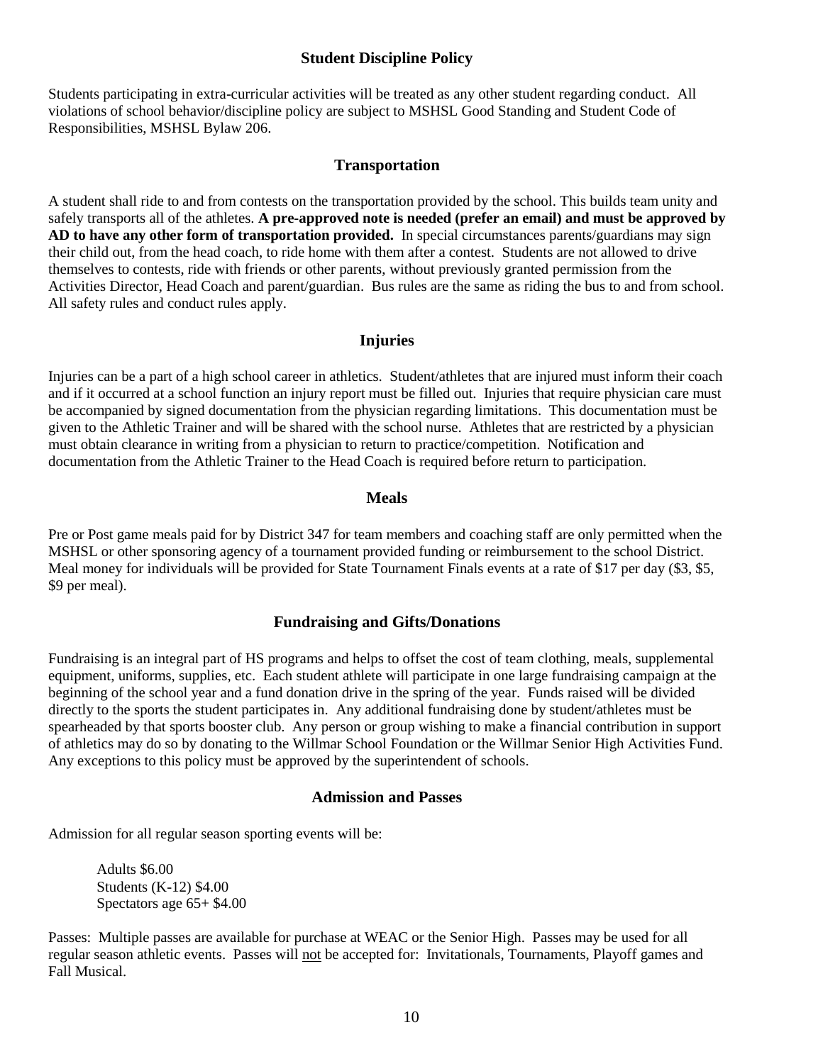### **Student Discipline Policy**

Students participating in extra-curricular activities will be treated as any other student regarding conduct. All violations of school behavior/discipline policy are subject to MSHSL Good Standing and Student Code of Responsibilities, MSHSL Bylaw 206.

#### **Transportation**

A student shall ride to and from contests on the transportation provided by the school. This builds team unity and safely transports all of the athletes. **A pre-approved note is needed (prefer an email) and must be approved by AD to have any other form of transportation provided.** In special circumstances parents/guardians may sign their child out, from the head coach, to ride home with them after a contest. Students are not allowed to drive themselves to contests, ride with friends or other parents, without previously granted permission from the Activities Director, Head Coach and parent/guardian. Bus rules are the same as riding the bus to and from school. All safety rules and conduct rules apply.

#### **Injuries**

Injuries can be a part of a high school career in athletics. Student/athletes that are injured must inform their coach and if it occurred at a school function an injury report must be filled out. Injuries that require physician care must be accompanied by signed documentation from the physician regarding limitations. This documentation must be given to the Athletic Trainer and will be shared with the school nurse. Athletes that are restricted by a physician must obtain clearance in writing from a physician to return to practice/competition. Notification and documentation from the Athletic Trainer to the Head Coach is required before return to participation.

#### **Meals**

Pre or Post game meals paid for by District 347 for team members and coaching staff are only permitted when the MSHSL or other sponsoring agency of a tournament provided funding or reimbursement to the school District. Meal money for individuals will be provided for State Tournament Finals events at a rate of \$17 per day (\$3, \$5, \$9 per meal).

#### **Fundraising and Gifts/Donations**

Fundraising is an integral part of HS programs and helps to offset the cost of team clothing, meals, supplemental equipment, uniforms, supplies, etc. Each student athlete will participate in one large fundraising campaign at the beginning of the school year and a fund donation drive in the spring of the year. Funds raised will be divided directly to the sports the student participates in. Any additional fundraising done by student/athletes must be spearheaded by that sports booster club. Any person or group wishing to make a financial contribution in support of athletics may do so by donating to the Willmar School Foundation or the Willmar Senior High Activities Fund. Any exceptions to this policy must be approved by the superintendent of schools.

#### **Admission and Passes**

Admission for all regular season sporting events will be:

Adults \$6.00 Students (K-12) \$4.00 Spectators age 65+ \$4.00

Passes: Multiple passes are available for purchase at WEAC or the Senior High. Passes may be used for all regular season athletic events. Passes will not be accepted for: Invitationals, Tournaments, Playoff games and Fall Musical.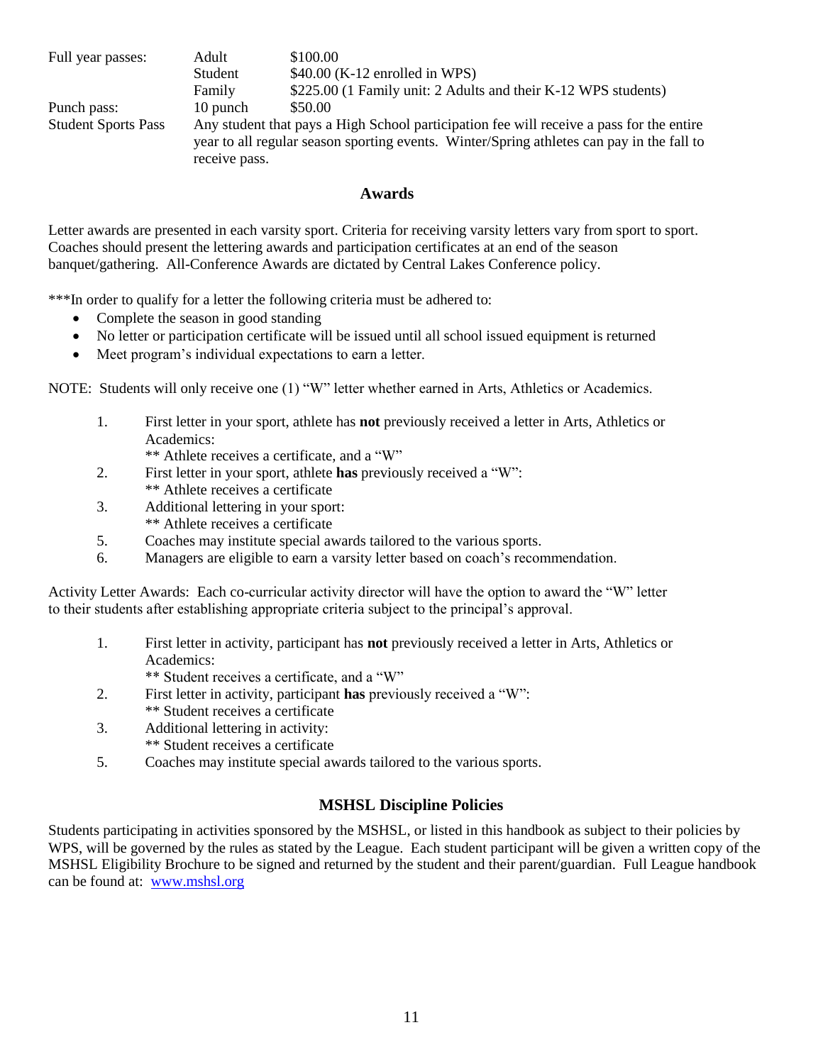| Full year passes:          | Adult                                                                                                                                                                                     | \$100.00                                                       |
|----------------------------|-------------------------------------------------------------------------------------------------------------------------------------------------------------------------------------------|----------------------------------------------------------------|
|                            | Student                                                                                                                                                                                   | $$40.00$ (K-12 enrolled in WPS)                                |
|                            | Family                                                                                                                                                                                    | \$225.00 (1 Family unit: 2 Adults and their K-12 WPS students) |
| Punch pass:                | 10 punch                                                                                                                                                                                  | \$50.00                                                        |
| <b>Student Sports Pass</b> | Any student that pays a High School participation fee will receive a pass for the entire<br>year to all regular season sporting events. Winter/Spring at helphetes can pay in the fall to |                                                                |
|                            | receive pass.                                                                                                                                                                             |                                                                |

#### **Awards**

Letter awards are presented in each varsity sport. Criteria for receiving varsity letters vary from sport to sport. Coaches should present the lettering awards and participation certificates at an end of the season banquet/gathering. All-Conference Awards are dictated by Central Lakes Conference policy.

\*\*\*In order to qualify for a letter the following criteria must be adhered to:

- Complete the season in good standing
- No letter or participation certificate will be issued until all school issued equipment is returned
- Meet program's individual expectations to earn a letter.

NOTE: Students will only receive one (1) "W" letter whether earned in Arts, Athletics or Academics.

1. First letter in your sport, athlete has **not** previously received a letter in Arts, Athletics or Academics:

\*\* Athlete receives a certificate, and a "W"

- 2. First letter in your sport, athlete **has** previously received a "W": \*\* Athlete receives a certificate
- 3. Additional lettering in your sport: \*\* Athlete receives a certificate
- 5. Coaches may institute special awards tailored to the various sports.
- 6. Managers are eligible to earn a varsity letter based on coach's recommendation.

Activity Letter Awards: Each co-curricular activity director will have the option to award the "W" letter to their students after establishing appropriate criteria subject to the principal's approval.

- 1. First letter in activity, participant has **not** previously received a letter in Arts, Athletics or Academics:
	- \*\* Student receives a certificate, and a "W"
- 2. First letter in activity, participant **has** previously received a "W": \*\* Student receives a certificate
- 3. Additional lettering in activity:
	- \*\* Student receives a certificate
- 5. Coaches may institute special awards tailored to the various sports.

### **MSHSL Discipline Policies**

Students participating in activities sponsored by the MSHSL, or listed in this handbook as subject to their policies by WPS, will be governed by the rules as stated by the League. Each student participant will be given a written copy of the MSHSL Eligibility Brochure to be signed and returned by the student and their parent/guardian. Full League handbook can be found at: [www.mshsl.org](http://www.mshsl.org/)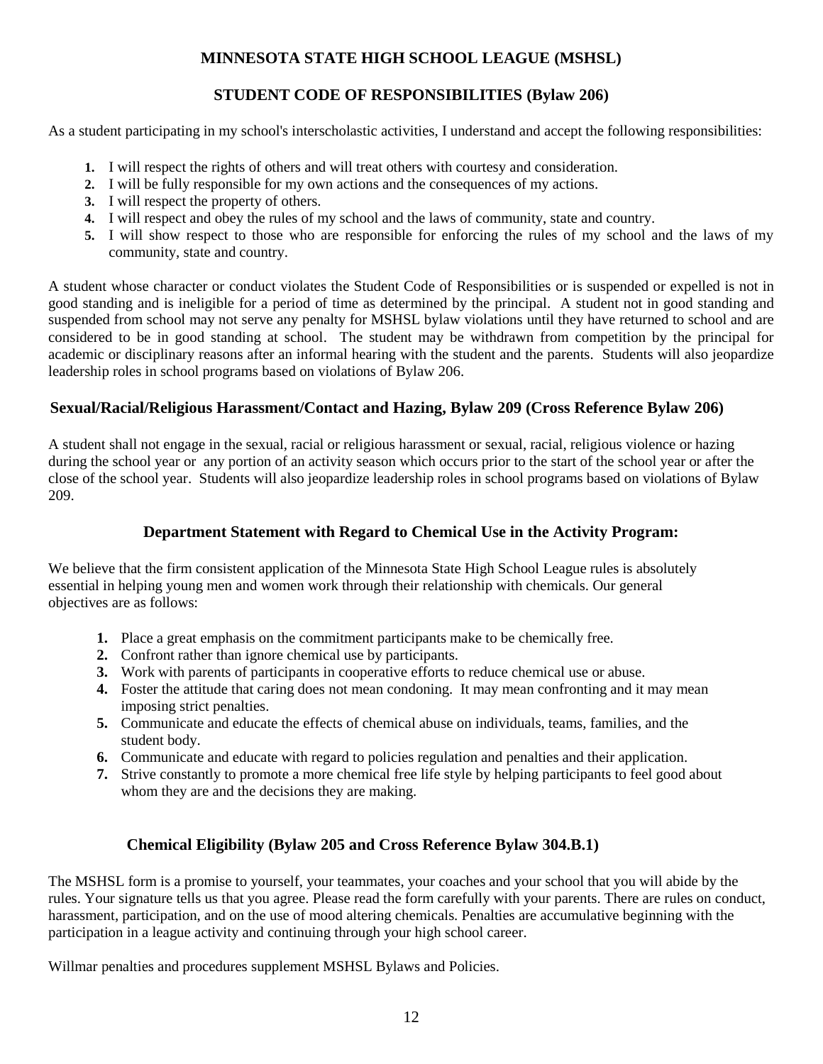## **MINNESOTA STATE HIGH SCHOOL LEAGUE (MSHSL)**

## **STUDENT CODE OF RESPONSIBILITIES (Bylaw 206)**

As a student participating in my school's interscholastic activities, I understand and accept the following responsibilities:

- **1.** I will respect the rights of others and will treat others with courtesy and consideration.
- **2.** I will be fully responsible for my own actions and the consequences of my actions.
- **3.** I will respect the property of others.
- **4.** I will respect and obey the rules of my school and the laws of community, state and country.
- **5.** I will show respect to those who are responsible for enforcing the rules of my school and the laws of my community, state and country.

A student whose character or conduct violates the Student Code of Responsibilities or is suspended or expelled is not in good standing and is ineligible for a period of time as determined by the principal. A student not in good standing and suspended from school may not serve any penalty for MSHSL bylaw violations until they have returned to school and are considered to be in good standing at school. The student may be withdrawn from competition by the principal for academic or disciplinary reasons after an informal hearing with the student and the parents. Students will also jeopardize leadership roles in school programs based on violations of Bylaw 206.

## **Sexual/Racial/Religious Harassment/Contact and Hazing, Bylaw 209 (Cross Reference Bylaw 206)**

A student shall not engage in the sexual, racial or religious harassment or sexual, racial, religious violence or hazing during the school year or any portion of an activity season which occurs prior to the start of the school year or after the close of the school year. Students will also jeopardize leadership roles in school programs based on violations of Bylaw 209.

## **Department Statement with Regard to Chemical Use in the Activity Program:**

We believe that the firm consistent application of the Minnesota State High School League rules is absolutely essential in helping young men and women work through their relationship with chemicals. Our general objectives are as follows:

- **1.** Place a great emphasis on the commitment participants make to be chemically free.
- **2.** Confront rather than ignore chemical use by participants.
- **3.** Work with parents of participants in cooperative efforts to reduce chemical use or abuse.
- **4.** Foster the attitude that caring does not mean condoning. It may mean confronting and it may mean imposing strict penalties.
- **5.** Communicate and educate the effects of chemical abuse on individuals, teams, families, and the student body.
- **6.** Communicate and educate with regard to policies regulation and penalties and their application.
- **7.** Strive constantly to promote a more chemical free life style by helping participants to feel good about whom they are and the decisions they are making.

## **Chemical Eligibility (Bylaw 205 and Cross Reference Bylaw 304.B.1)**

The MSHSL form is a promise to yourself, your teammates, your coaches and your school that you will abide by the rules. Your signature tells us that you agree. Please read the form carefully with your parents. There are rules on conduct, harassment, participation, and on the use of mood altering chemicals. Penalties are accumulative beginning with the participation in a league activity and continuing through your high school career.

Willmar penalties and procedures supplement MSHSL Bylaws and Policies.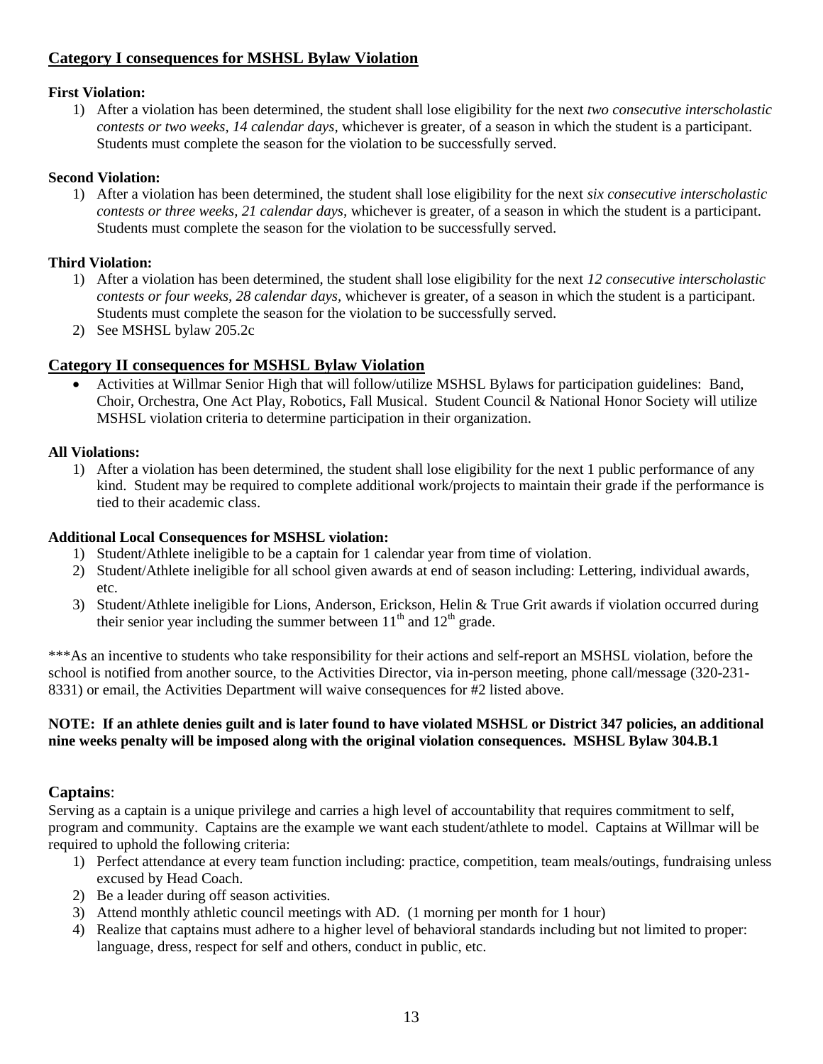## **Category I consequences for MSHSL Bylaw Violation**

### **First Violation:**

1) After a violation has been determined, the student shall lose eligibility for the next *two consecutive interscholastic contests or two weeks, 14 calendar days,* whichever is greater, of a season in which the student is a participant. Students must complete the season for the violation to be successfully served.

### **Second Violation:**

1) After a violation has been determined, the student shall lose eligibility for the next *six consecutive interscholastic contests or three weeks, 21 calendar days,* whichever is greater, of a season in which the student is a participant. Students must complete the season for the violation to be successfully served.

### **Third Violation:**

- 1) After a violation has been determined, the student shall lose eligibility for the next *12 consecutive interscholastic contests or four weeks, 28 calendar days,* whichever is greater, of a season in which the student is a participant. Students must complete the season for the violation to be successfully served.
- 2) See MSHSL bylaw 205.2c

## **Category II consequences for MSHSL Bylaw Violation**

 Activities at Willmar Senior High that will follow/utilize MSHSL Bylaws for participation guidelines: Band, Choir, Orchestra, One Act Play, Robotics, Fall Musical. Student Council & National Honor Society will utilize MSHSL violation criteria to determine participation in their organization.

### **All Violations:**

1) After a violation has been determined, the student shall lose eligibility for the next 1 public performance of any kind. Student may be required to complete additional work/projects to maintain their grade if the performance is tied to their academic class.

### **Additional Local Consequences for MSHSL violation:**

- 1) Student/Athlete ineligible to be a captain for 1 calendar year from time of violation.
- 2) Student/Athlete ineligible for all school given awards at end of season including: Lettering, individual awards, etc.
- 3) Student/Athlete ineligible for Lions, Anderson, Erickson, Helin & True Grit awards if violation occurred during their senior year including the summer between  $11<sup>th</sup>$  and  $12<sup>th</sup>$  grade.

\*\*\*As an incentive to students who take responsibility for their actions and self-report an MSHSL violation, before the school is notified from another source, to the Activities Director, via in-person meeting, phone call/message (320-231- 8331) or email, the Activities Department will waive consequences for #2 listed above.

### **NOTE: If an athlete denies guilt and is later found to have violated MSHSL or District 347 policies, an additional nine weeks penalty will be imposed along with the original violation consequences. MSHSL Bylaw 304.B.1**

## **Captains**:

Serving as a captain is a unique privilege and carries a high level of accountability that requires commitment to self, program and community. Captains are the example we want each student/athlete to model. Captains at Willmar will be required to uphold the following criteria:

- 1) Perfect attendance at every team function including: practice, competition, team meals/outings, fundraising unless excused by Head Coach.
- 2) Be a leader during off season activities.
- 3) Attend monthly athletic council meetings with AD. (1 morning per month for 1 hour)
- 4) Realize that captains must adhere to a higher level of behavioral standards including but not limited to proper: language, dress, respect for self and others, conduct in public, etc.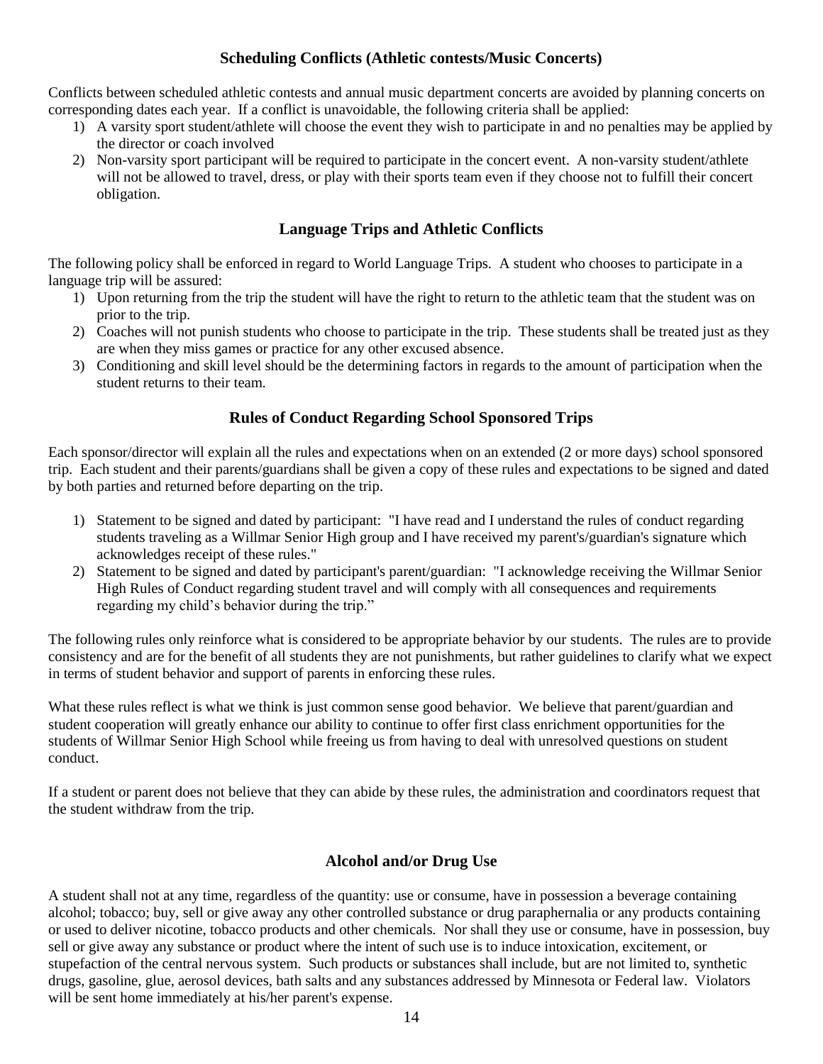### **Scheduling Conflicts (Athletic contests/Music Concerts)**

Conflicts between scheduled athletic contests and annual music department concerts are avoided by planning concerts on corresponding dates each year. If a conflict is unavoidable, the following criteria shall be applied:

- 1) A varsity sport student/athlete will choose the event they wish to participate in and no penalties may be applied by the director or coach involved
- 2) Non-varsity sport participant will be required to participate in the concert event. A non-varsity student/athlete will not be allowed to travel, dress, or play with their sports team even if they choose not to fulfill their concert obligation.

### **Language Trips and Athletic Conflicts**

The following policy shall be enforced in regard to World Language Trips. A student who chooses to participate in a language trip will be assured:

- 1) Upon returning from the trip the student will have the right to return to the athletic team that the student was on prior to the trip.
- 2) Coaches will not punish students who choose to participate in the trip. These students shall be treated just as they are when they miss games or practice for any other excused absence.
- 3) Conditioning and skill level should be the determining factors in regards to the amount of participation when the student returns to their team.

### **Rules of Conduct Regarding School Sponsored Trips**

Each sponsor/director will explain all the rules and expectations when on an extended (2 or more days) school sponsored trip. Each student and their parents/guardians shall be given a copy of these rules and expectations to be signed and dated by both parties and returned before departing on the trip.

- 1) Statement to be signed and dated by participant: "I have read and I understand the rules of conduct regarding students traveling as a Willmar Senior High group and I have received my parent's/guardian's signature which acknowledges receipt of these rules."
- 2) Statement to be signed and dated by participant's parent/guardian: "I acknowledge receiving the Willmar Senior High Rules of Conduct regarding student travel and will comply with all consequences and requirements regarding my child's behavior during the trip."

The following rules only reinforce what is considered to be appropriate behavior by our students. The rules are to provide consistency and are for the benefit of all students they are not punishments, but rather guidelines to clarify what we expect in terms of student behavior and support of parents in enforcing these rules.

What these rules reflect is what we think is just common sense good behavior. We believe that parent/guardian and student cooperation will greatly enhance our ability to continue to offer first class enrichment opportunities for the students of Willmar Senior High School while freeing us from having to deal with unresolved questions on student conduct.

If a student or parent does not believe that they can abide by these rules, the administration and coordinators request that the student withdraw from the trip.

## **Alcohol and/or Drug Use**

A student shall not at any time, regardless of the quantity: use or consume, have in possession a beverage containing alcohol; tobacco; buy, sell or give away any other controlled substance or drug paraphernalia or any products containing or used to deliver nicotine, tobacco products and other chemicals. Nor shall they use or consume, have in possession, buy sell or give away any substance or product where the intent of such use is to induce intoxication, excitement, or stupefaction of the central nervous system. Such products or substances shall include, but are not limited to, synthetic drugs, gasoline, glue, aerosol devices, bath salts and any substances addressed by Minnesota or Federal law. Violators will be sent home immediately at his/her parent's expense.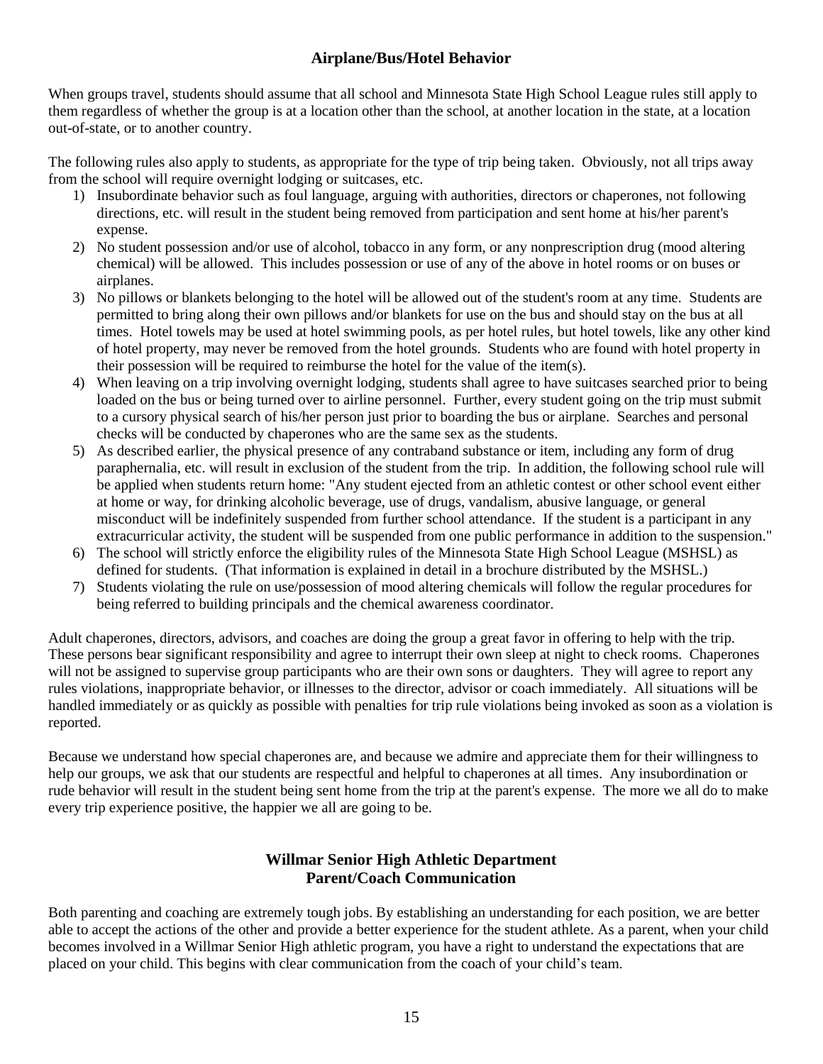## **Airplane/Bus/Hotel Behavior**

When groups travel, students should assume that all school and Minnesota State High School League rules still apply to them regardless of whether the group is at a location other than the school, at another location in the state, at a location out-of-state, or to another country.

The following rules also apply to students, as appropriate for the type of trip being taken. Obviously, not all trips away from the school will require overnight lodging or suitcases, etc.

- 1) Insubordinate behavior such as foul language, arguing with authorities, directors or chaperones, not following directions, etc. will result in the student being removed from participation and sent home at his/her parent's expense.
- 2) No student possession and/or use of alcohol, tobacco in any form, or any nonprescription drug (mood altering chemical) will be allowed. This includes possession or use of any of the above in hotel rooms or on buses or airplanes.
- 3) No pillows or blankets belonging to the hotel will be allowed out of the student's room at any time. Students are permitted to bring along their own pillows and/or blankets for use on the bus and should stay on the bus at all times. Hotel towels may be used at hotel swimming pools, as per hotel rules, but hotel towels, like any other kind of hotel property, may never be removed from the hotel grounds. Students who are found with hotel property in their possession will be required to reimburse the hotel for the value of the item(s).
- 4) When leaving on a trip involving overnight lodging, students shall agree to have suitcases searched prior to being loaded on the bus or being turned over to airline personnel. Further, every student going on the trip must submit to a cursory physical search of his/her person just prior to boarding the bus or airplane. Searches and personal checks will be conducted by chaperones who are the same sex as the students.
- 5) As described earlier, the physical presence of any contraband substance or item, including any form of drug paraphernalia, etc. will result in exclusion of the student from the trip. In addition, the following school rule will be applied when students return home: "Any student ejected from an athletic contest or other school event either at home or way, for drinking alcoholic beverage, use of drugs, vandalism, abusive language, or general misconduct will be indefinitely suspended from further school attendance. If the student is a participant in any extracurricular activity, the student will be suspended from one public performance in addition to the suspension."
- 6) The school will strictly enforce the eligibility rules of the Minnesota State High School League (MSHSL) as defined for students. (That information is explained in detail in a brochure distributed by the MSHSL.)
- 7) Students violating the rule on use/possession of mood altering chemicals will follow the regular procedures for being referred to building principals and the chemical awareness coordinator.

Adult chaperones, directors, advisors, and coaches are doing the group a great favor in offering to help with the trip. These persons bear significant responsibility and agree to interrupt their own sleep at night to check rooms. Chaperones will not be assigned to supervise group participants who are their own sons or daughters. They will agree to report any rules violations, inappropriate behavior, or illnesses to the director, advisor or coach immediately. All situations will be handled immediately or as quickly as possible with penalties for trip rule violations being invoked as soon as a violation is reported.

Because we understand how special chaperones are, and because we admire and appreciate them for their willingness to help our groups, we ask that our students are respectful and helpful to chaperones at all times. Any insubordination or rude behavior will result in the student being sent home from the trip at the parent's expense. The more we all do to make every trip experience positive, the happier we all are going to be.

## **Willmar Senior High Athletic Department Parent/Coach Communication**

Both parenting and coaching are extremely tough jobs. By establishing an understanding for each position, we are better able to accept the actions of the other and provide a better experience for the student athlete. As a parent, when your child becomes involved in a Willmar Senior High athletic program, you have a right to understand the expectations that are placed on your child. This begins with clear communication from the coach of your child's team.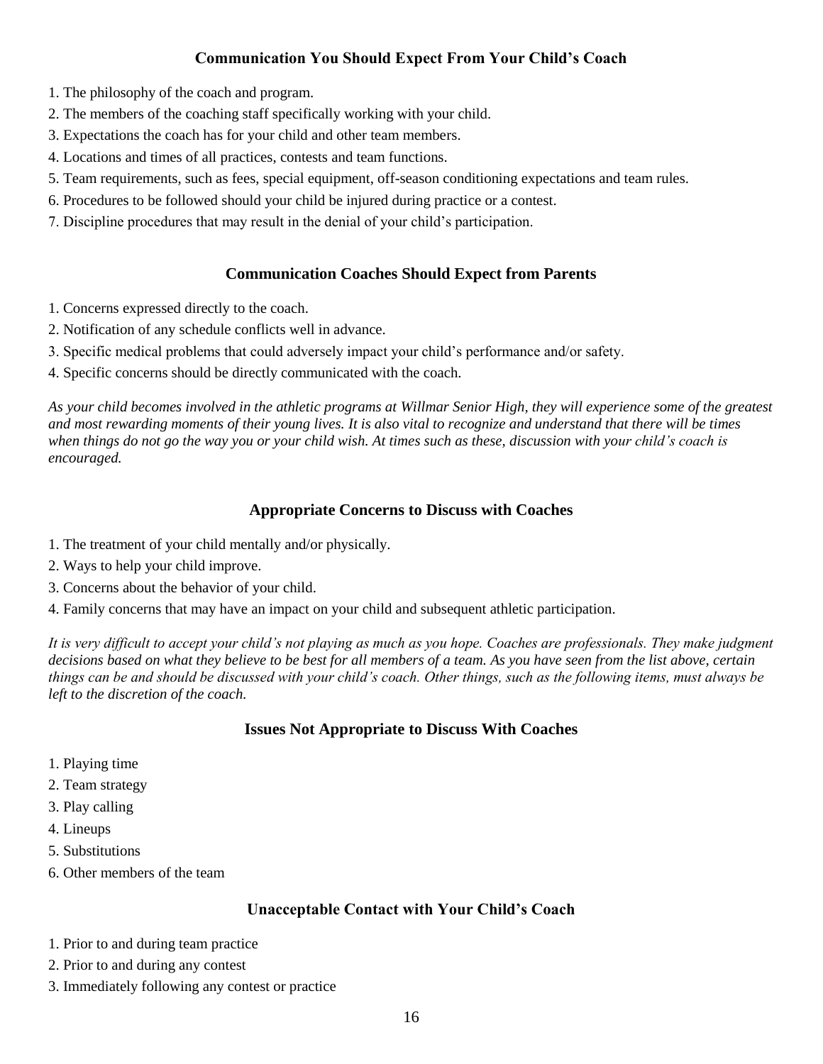## **Communication You Should Expect From Your Child's Coach**

- 1. The philosophy of the coach and program.
- 2. The members of the coaching staff specifically working with your child.
- 3. Expectations the coach has for your child and other team members.
- 4. Locations and times of all practices, contests and team functions.
- 5. Team requirements, such as fees, special equipment, off-season conditioning expectations and team rules.
- 6. Procedures to be followed should your child be injured during practice or a contest.
- 7. Discipline procedures that may result in the denial of your child's participation.

## **Communication Coaches Should Expect from Parents**

- 1. Concerns expressed directly to the coach.
- 2. Notification of any schedule conflicts well in advance.
- 3. Specific medical problems that could adversely impact your child's performance and/or safety.
- 4. Specific concerns should be directly communicated with the coach.

*As your child becomes involved in the athletic programs at Willmar Senior High, they will experience some of the greatest and most rewarding moments of their young lives. It is also vital to recognize and understand that there will be times when things do not go the way you or your child wish. At times such as these, discussion with your child's coach is encouraged.* 

## **Appropriate Concerns to Discuss with Coaches**

- 1. The treatment of your child mentally and/or physically.
- 2. Ways to help your child improve.
- 3. Concerns about the behavior of your child.
- 4. Family concerns that may have an impact on your child and subsequent athletic participation.

*It is very difficult to accept your child's not playing as much as you hope. Coaches are professionals. They make judgment decisions based on what they believe to be best for all members of a team. As you have seen from the list above, certain things can be and should be discussed with your child's coach. Other things, such as the following items, must always be left to the discretion of the coach.* 

## **Issues Not Appropriate to Discuss With Coaches**

- 1. Playing time
- 2. Team strategy
- 3. Play calling
- 4. Lineups
- 5. Substitutions
- 6. Other members of the team

## **Unacceptable Contact with Your Child's Coach**

- 1. Prior to and during team practice
- 2. Prior to and during any contest
- 3. Immediately following any contest or practice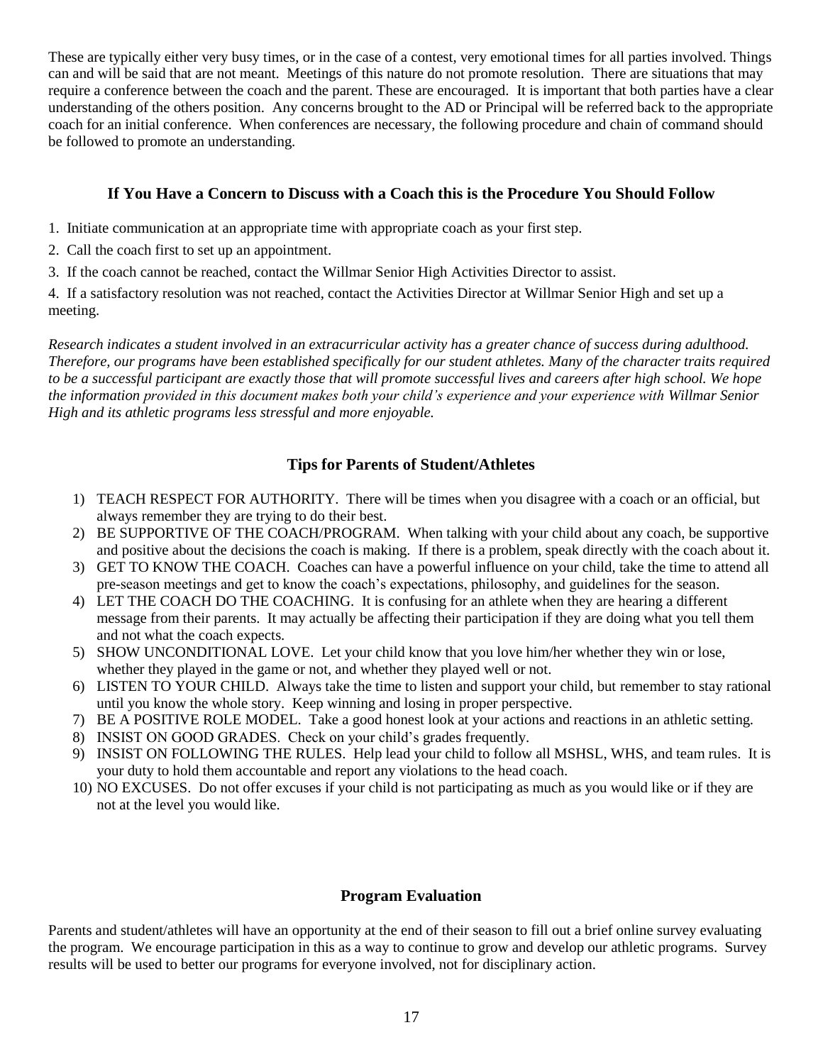These are typically either very busy times, or in the case of a contest, very emotional times for all parties involved. Things can and will be said that are not meant. Meetings of this nature do not promote resolution. There are situations that may require a conference between the coach and the parent. These are encouraged. It is important that both parties have a clear understanding of the others position. Any concerns brought to the AD or Principal will be referred back to the appropriate coach for an initial conference. When conferences are necessary, the following procedure and chain of command should be followed to promote an understanding.

### **If You Have a Concern to Discuss with a Coach this is the Procedure You Should Follow**

- 1. Initiate communication at an appropriate time with appropriate coach as your first step.
- 2. Call the coach first to set up an appointment.
- 3. If the coach cannot be reached, contact the Willmar Senior High Activities Director to assist.

4. If a satisfactory resolution was not reached, contact the Activities Director at Willmar Senior High and set up a meeting.

*Research indicates a student involved in an extracurricular activity has a greater chance of success during adulthood. Therefore, our programs have been established specifically for our student athletes. Many of the character traits required to be a successful participant are exactly those that will promote successful lives and careers after high school. We hope the information provided in this document makes both your child's experience and your experience with Willmar Senior High and its athletic programs less stressful and more enjoyable.*

### **Tips for Parents of Student/Athletes**

- 1) TEACH RESPECT FOR AUTHORITY. There will be times when you disagree with a coach or an official, but always remember they are trying to do their best.
- 2) BE SUPPORTIVE OF THE COACH/PROGRAM. When talking with your child about any coach, be supportive and positive about the decisions the coach is making. If there is a problem, speak directly with the coach about it.
- 3) GET TO KNOW THE COACH. Coaches can have a powerful influence on your child, take the time to attend all pre-season meetings and get to know the coach's expectations, philosophy, and guidelines for the season.
- 4) LET THE COACH DO THE COACHING. It is confusing for an athlete when they are hearing a different message from their parents. It may actually be affecting their participation if they are doing what you tell them and not what the coach expects.
- 5) SHOW UNCONDITIONAL LOVE. Let your child know that you love him/her whether they win or lose, whether they played in the game or not, and whether they played well or not.
- 6) LISTEN TO YOUR CHILD. Always take the time to listen and support your child, but remember to stay rational until you know the whole story. Keep winning and losing in proper perspective.
- 7) BE A POSITIVE ROLE MODEL. Take a good honest look at your actions and reactions in an athletic setting.
- 8) INSIST ON GOOD GRADES. Check on your child's grades frequently.
- 9) INSIST ON FOLLOWING THE RULES. Help lead your child to follow all MSHSL, WHS, and team rules. It is your duty to hold them accountable and report any violations to the head coach.
- 10) NO EXCUSES. Do not offer excuses if your child is not participating as much as you would like or if they are not at the level you would like.

### **Program Evaluation**

Parents and student/athletes will have an opportunity at the end of their season to fill out a brief online survey evaluating the program. We encourage participation in this as a way to continue to grow and develop our athletic programs. Survey results will be used to better our programs for everyone involved, not for disciplinary action.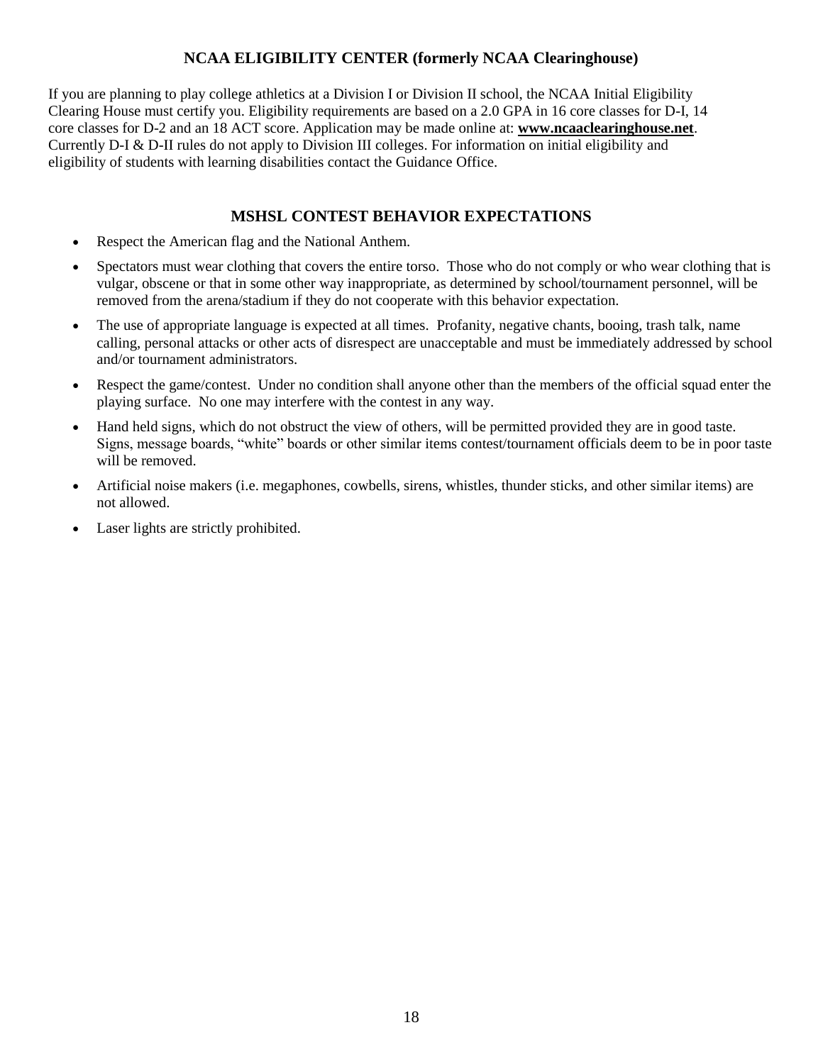## **NCAA ELIGIBILITY CENTER (formerly NCAA Clearinghouse)**

If you are planning to play college athletics at a Division I or Division II school, the NCAA Initial Eligibility Clearing House must certify you. Eligibility requirements are based on a 2.0 GPA in 16 core classes for D-I, 14 core classes for D-2 and an 18 ACT score. Application may be made online at: **www.ncaaclearinghouse.net**. Currently D-I & D-II rules do not apply to Division III colleges. For information on initial eligibility and eligibility of students with learning disabilities contact the Guidance Office.

### **MSHSL CONTEST BEHAVIOR EXPECTATIONS**

- Respect the American flag and the National Anthem.
- Spectators must wear clothing that covers the entire torso. Those who do not comply or who wear clothing that is vulgar, obscene or that in some other way inappropriate, as determined by school/tournament personnel, will be removed from the arena/stadium if they do not cooperate with this behavior expectation.
- The use of appropriate language is expected at all times. Profanity, negative chants, booing, trash talk, name calling, personal attacks or other acts of disrespect are unacceptable and must be immediately addressed by school and/or tournament administrators.
- Respect the game/contest. Under no condition shall anyone other than the members of the official squad enter the playing surface. No one may interfere with the contest in any way.
- Hand held signs, which do not obstruct the view of others, will be permitted provided they are in good taste. Signs, message boards, "white" boards or other similar items contest/tournament officials deem to be in poor taste will be removed.
- Artificial noise makers (i.e. megaphones, cowbells, sirens, whistles, thunder sticks, and other similar items) are not allowed.
- Laser lights are strictly prohibited.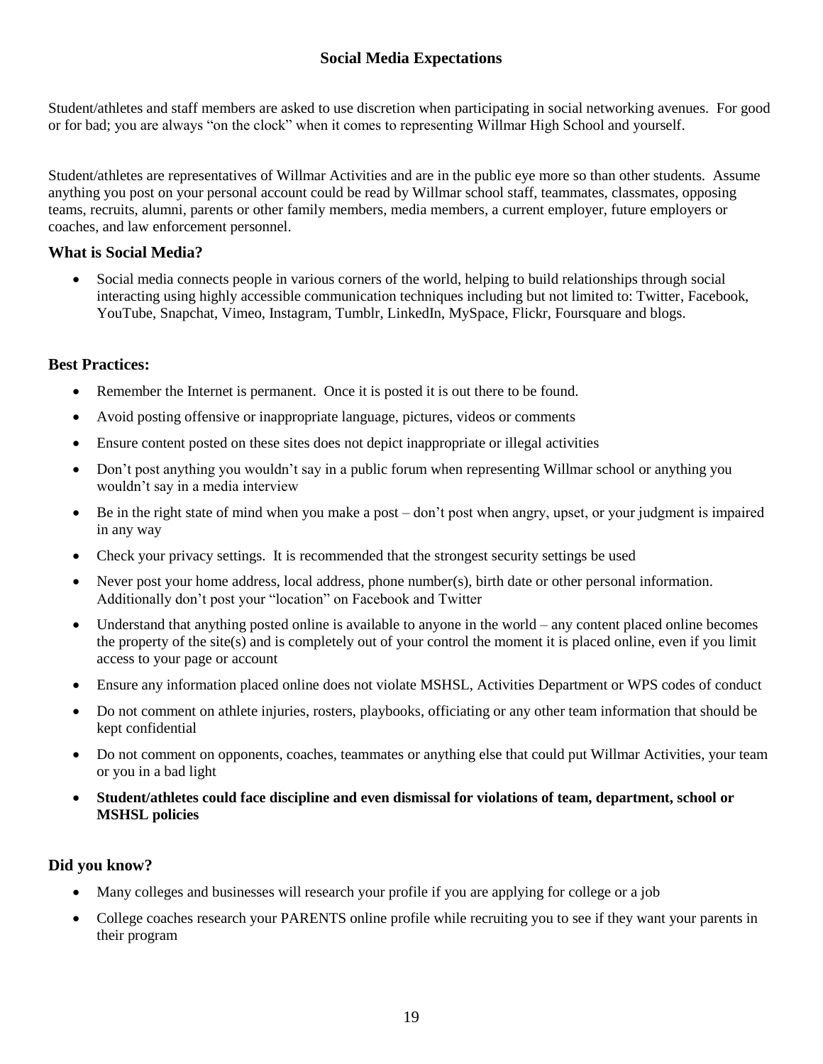## **Social Media Expectations**

Student/athletes and staff members are asked to use discretion when participating in social networking avenues. For good or for bad; you are always "on the clock" when it comes to representing Willmar High School and yourself.

Student/athletes are representatives of Willmar Activities and are in the public eye more so than other students. Assume anything you post on your personal account could be read by Willmar school staff, teammates, classmates, opposing teams, recruits, alumni, parents or other family members, media members, a current employer, future employers or coaches, and law enforcement personnel.

### **What is Social Media?**

 Social media connects people in various corners of the world, helping to build relationships through social interacting using highly accessible communication techniques including but not limited to: Twitter, Facebook, YouTube, Snapchat, Vimeo, Instagram, Tumblr, LinkedIn, MySpace, Flickr, Foursquare and blogs.

### **Best Practices:**

- Remember the Internet is permanent. Once it is posted it is out there to be found.
- Avoid posting offensive or inappropriate language, pictures, videos or comments
- Ensure content posted on these sites does not depict inappropriate or illegal activities
- Don't post anything you wouldn't say in a public forum when representing Willmar school or anything you wouldn't say in a media interview
- Be in the right state of mind when you make a post don't post when angry, upset, or your judgment is impaired in any way
- Check your privacy settings. It is recommended that the strongest security settings be used
- Never post your home address, local address, phone number(s), birth date or other personal information. Additionally don't post your "location" on Facebook and Twitter
- Understand that anything posted online is available to anyone in the world any content placed online becomes the property of the site(s) and is completely out of your control the moment it is placed online, even if you limit access to your page or account
- Ensure any information placed online does not violate MSHSL, Activities Department or WPS codes of conduct
- Do not comment on athlete injuries, rosters, playbooks, officiating or any other team information that should be kept confidential
- Do not comment on opponents, coaches, teammates or anything else that could put Willmar Activities, your team or you in a bad light
- **Student/athletes could face discipline and even dismissal for violations of team, department, school or MSHSL policies**

### **Did you know?**

- Many colleges and businesses will research your profile if you are applying for college or a job
- College coaches research your PARENTS online profile while recruiting you to see if they want your parents in their program